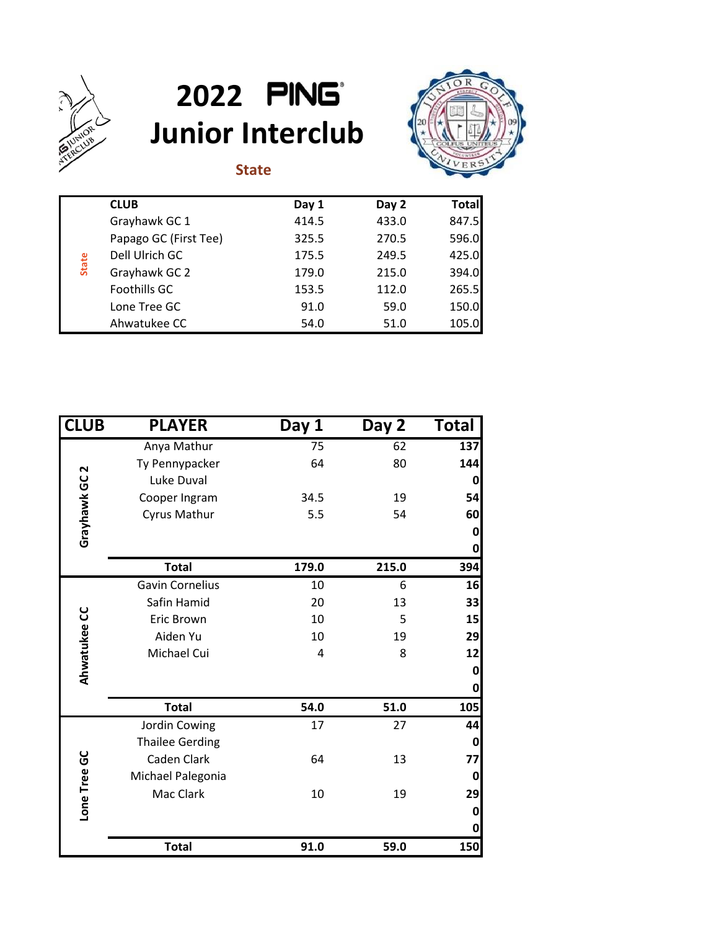

## **2022 Junior Interclub**



**State**

|              | <b>CLUB</b>           | Day 1 | Day 2 | <b>Total</b> |
|--------------|-----------------------|-------|-------|--------------|
|              | Grayhawk GC 1         | 414.5 | 433.0 | 847.5        |
|              | Papago GC (First Tee) | 325.5 | 270.5 | 596.0        |
| <b>State</b> | Dell Ulrich GC        | 175.5 | 249.5 | 425.0        |
|              | Grayhawk GC 2         | 179.0 | 215.0 | 394.0        |
|              | <b>Foothills GC</b>   | 153.5 | 112.0 | 265.5        |
|              | Lone Tree GC          | 91.0  | 59.0  | 150.0        |
|              | Ahwatukee CC          | 54.0  | 51.0  | 105.0        |
|              |                       |       |       |              |

| <b>CLUB</b>              | <b>PLAYER</b>          | Day 1 | Day 2 | <b>Total</b>     |
|--------------------------|------------------------|-------|-------|------------------|
|                          | Anya Mathur            | 75    | 62    | 137              |
|                          | Ty Pennypacker         | 64    | 80    | 144              |
|                          | Luke Duval             |       |       | $\mathbf 0$      |
|                          | Cooper Ingram          | 34.5  | 19    | 54               |
|                          | Cyrus Mathur           | 5.5   | 54    | 60               |
| Grayhawk GC <sub>2</sub> |                        |       |       | 0<br>$\mathbf 0$ |
|                          | <b>Total</b>           | 179.0 | 215.0 | 394              |
|                          | <b>Gavin Cornelius</b> | 10    | 6     | 16               |
|                          | Safin Hamid            | 20    | 13    | 33               |
| Ahwatukee CC             | Eric Brown             | 10    | 5     | 15               |
|                          | Aiden Yu               | 10    | 19    | 29               |
|                          | Michael Cui            | 4     | 8     | 12               |
|                          |                        |       |       | $\mathbf 0$      |
|                          |                        |       |       | 0                |
|                          | <b>Total</b>           | 54.0  | 51.0  | 105              |
|                          | Jordin Cowing          | 17    | 27    | 44               |
|                          | <b>Thailee Gerding</b> |       |       | $\mathbf 0$      |
|                          | Caden Clark            | 64    | 13    | 77               |
|                          | Michael Palegonia      |       |       | $\mathbf 0$      |
|                          | Mac Clark              | 10    | 19    | 29               |
| Lone Tree GC             |                        |       |       | $\mathbf 0$      |
|                          |                        |       |       | $\mathbf 0$      |
|                          | <b>Total</b>           | 91.0  | 59.0  | 150              |